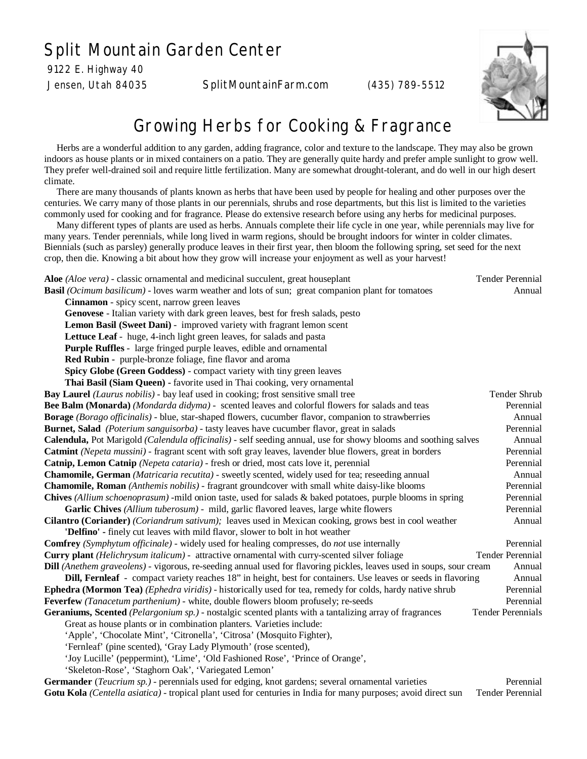## Split Mountain Garden Center

9122 E. Highway 40

Jensen, Utah 84035 SplitMountainFarm.com (435) 789-5512



## Growing Herbs for Cooking & Fragrance

 Herbs are a wonderful addition to any garden, adding fragrance, color and texture to the landscape. They may also be grown indoors as house plants or in mixed containers on a patio. They are generally quite hardy and prefer ample sunlight to grow well. They prefer well-drained soil and require little fertilization. Many are somewhat drought-tolerant, and do well in our high desert climate.

 There are many thousands of plants known as herbs that have been used by people for healing and other purposes over the centuries. We carry many of those plants in our perennials, shrubs and rose departments, but this list is limited to the varieties commonly used for cooking and for fragrance. Please do extensive research before using any herbs for medicinal purposes.

 Many different types of plants are used as herbs. Annuals complete their life cycle in one year, while perennials may live for many years. Tender perennials, while long lived in warm regions, should be brought indoors for winter in colder climates. Biennials (such as parsley) generally produce leaves in their first year, then bloom the following spring, set seed for the next crop, then die. Knowing a bit about how they grow will increase your enjoyment as well as your harvest!

| Aloe (Aloe vera) - classic ornamental and medicinal succulent, great houseplant                                             | <b>Tender Perennial</b>  |
|-----------------------------------------------------------------------------------------------------------------------------|--------------------------|
| <b>Basil</b> (Ocimum basilicum) - loves warm weather and lots of sun; great companion plant for tomatoes                    | Annual                   |
| Cinnamon - spicy scent, narrow green leaves                                                                                 |                          |
| Genovese - Italian variety with dark green leaves, best for fresh salads, pesto                                             |                          |
| Lemon Basil (Sweet Dani) - improved variety with fragrant lemon scent                                                       |                          |
| Lettuce Leaf - huge, 4-inch light green leaves, for salads and pasta                                                        |                          |
| Purple Ruffles - large fringed purple leaves, edible and ornamental                                                         |                          |
| Red Rubin - purple-bronze foliage, fine flavor and aroma                                                                    |                          |
| Spicy Globe (Green Goddess) - compact variety with tiny green leaves                                                        |                          |
| Thai Basil (Siam Queen) - favorite used in Thai cooking, very ornamental                                                    |                          |
| <b>Bay Laurel</b> (Laurus nobilis) - bay leaf used in cooking; frost sensitive small tree                                   | Tender Shrub             |
| Bee Balm (Monarda) (Mondarda didyma) - scented leaves and colorful flowers for salads and teas                              | Perennial                |
| Borage (Borago officinalis) - blue, star-shaped flowers, cucumber flavor, companion to strawberries                         | Annual                   |
| <b>Burnet, Salad</b> (Poterium sanguisorba) - tasty leaves have cucumber flavor, great in salads                            | Perennial                |
| Calendula, Pot Marigold (Calendula officinalis) - self seeding annual, use for showy blooms and soothing salves             | Annual                   |
| Catmint (Nepeta mussini) - fragrant scent with soft gray leaves, lavender blue flowers, great in borders                    | Perennial                |
| Catnip, Lemon Catnip (Nepeta cataria) - fresh or dried, most cats love it, perennial                                        | Perennial                |
| Chamomile, German (Matricaria recutita) - sweetly scented, widely used for tea; reseeding annual                            | Annual                   |
| <b>Chamomile, Roman</b> (Anthemis nobilis) - fragrant groundcover with small white daisy-like blooms                        | Perennial                |
| Chives (Allium schoenoprasum) - mild onion taste, used for salads & baked potatoes, purple blooms in spring                 | Perennial                |
| Garlic Chives (Allium tuberosum) - mild, garlic flavored leaves, large white flowers                                        | Perennial                |
| Cilantro (Coriander) (Coriandrum sativum); leaves used in Mexican cooking, grows best in cool weather                       | Annual                   |
| 'Delfino' - finely cut leaves with mild flavor, slower to bolt in hot weather                                               |                          |
| <b>Comfrey</b> (Symphytum officinale) - widely used for healing compresses, do not use internally                           | Perennial                |
| <b>Curry plant</b> ( <i>Helichrysum italicum</i> ) - attractive ornamental with curry-scented silver foliage                | <b>Tender Perennial</b>  |
| <b>Dill</b> (Anethem graveolens) - vigorous, re-seeding annual used for flavoring pickles, leaves used in soups, sour cream | Annual                   |
| Dill, Fernleaf - compact variety reaches 18" in height, best for containers. Use leaves or seeds in flavoring               | Annual                   |
| Ephedra (Mormon Tea) (Ephedra viridis) - historically used for tea, remedy for colds, hardy native shrub                    | Perennial                |
| Feverfew (Tanacetum parthenium) - white, double flowers bloom profusely; re-seeds                                           | Perennial                |
| Geraniums, Scented (Pelargonium sp.) - nostalgic scented plants with a tantalizing array of fragrances                      | <b>Tender Perennials</b> |
| Great as house plants or in combination planters. Varieties include:                                                        |                          |
| 'Apple', 'Chocolate Mint', 'Citronella', 'Citrosa' (Mosquito Fighter),                                                      |                          |
| 'Fernleaf' (pine scented), 'Gray Lady Plymouth' (rose scented),                                                             |                          |
| 'Joy Lucille' (peppermint), 'Lime', 'Old Fashioned Rose', 'Prince of Orange',                                               |                          |
| 'Skeleton-Rose', 'Staghorn Oak', 'Variegated Lemon'                                                                         |                          |
| Cormondor (Tougrium on) peronnials used for edging knot gardens: several ernamental verioties                               | <b>D</b> oronnial        |

**Germander** (*Teucrium sp.) -* perennials used for edging, knot gardens; several ornamental varieties Perennial **Gotu Kola** *(Centella asiatica)* - tropical plant used for centuries in India for many purposes; avoid direct sunTender Perennial